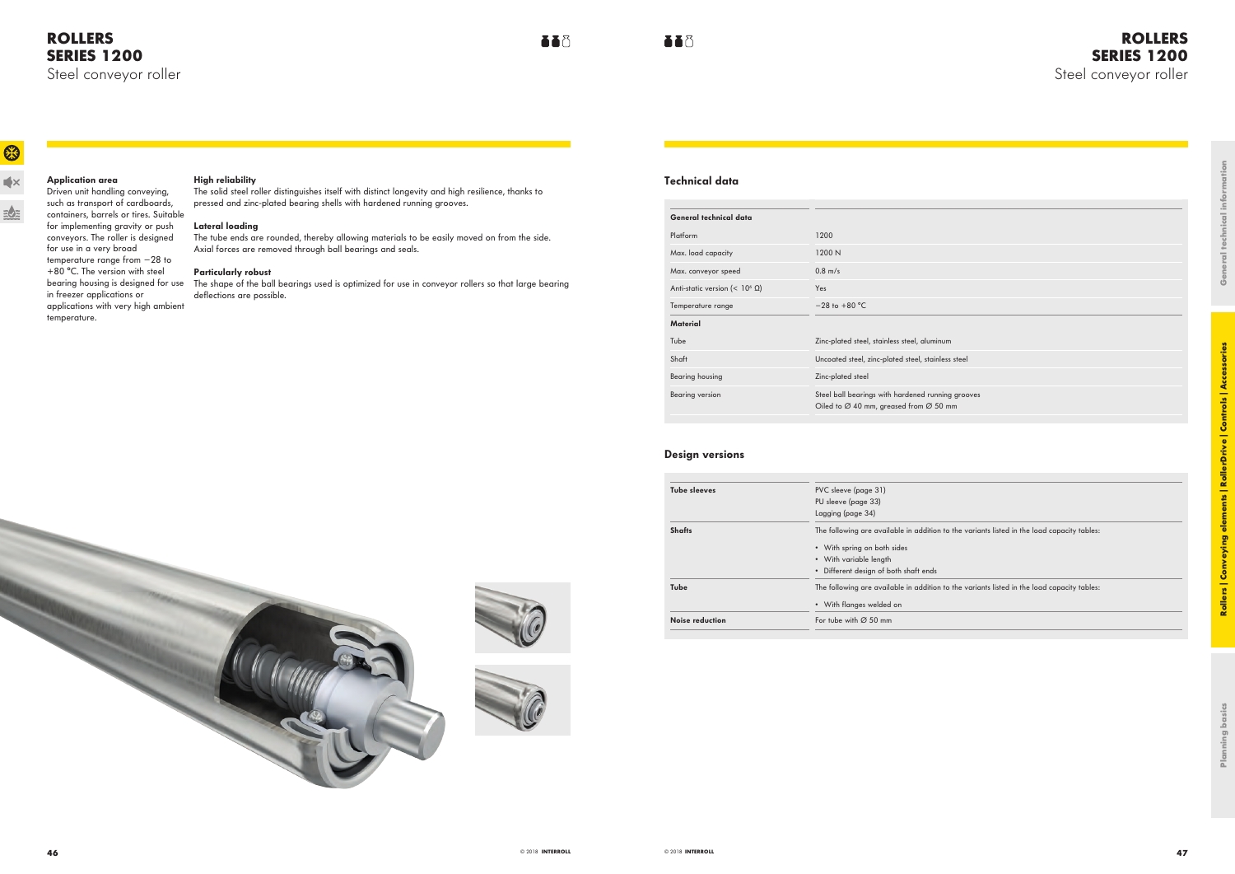# **ROLLERS SERIES 1200** Steel conveyor roller

| num                             |  |  |  |
|---------------------------------|--|--|--|
| aless steel                     |  |  |  |
|                                 |  |  |  |
| ning grooves<br>$50 \text{ mm}$ |  |  |  |
|                                 |  |  |  |
|                                 |  |  |  |

on to the variants listed in the load capacity tables:

on to the variants listed in the load capacity tables:

# **ROLLERS SERIES 1200** Steel conveyor roller

63

 $\blacktriangleleft$ 

 $\exists \bullet \exists$ 

## **High reliability**

The solid steel roller distinguishes itself with distinct longevity and high resilience, thanks to pressed and zinc-plated bearing shells with hardened running grooves.

bearing housing is designed for use The shape of the ball bearings used is optimized for use in conveyor rollers so that large bearing deflections are possible.

### **Lateral loading**

The tube ends are rounded, thereby allowing materials to be easily moved on from the side. Axial forces are removed through ball bearings and seals.

### **Particularly robust**

Driven unit handling conveying, such as transport of cardboards, containers, barrels or tires. Suitable for implementing gravity or push conveyors. The roller is designed for use in a very broad temperature range from −28 to +80 °C. The version with steel in freezer applications or applications with very high ambient temperature.

# **Application area**

# **Technical data**

FF<sup>3</sup>

| General technical data                    |                                                                                                                     |
|-------------------------------------------|---------------------------------------------------------------------------------------------------------------------|
| Platform                                  | 1200                                                                                                                |
| Max. load capacity                        | 1200 N                                                                                                              |
| Max. conveyor speed                       | $0.8$ m/s                                                                                                           |
| Anti-static version (< 10 <sup>6</sup> Ω) | <b>Yes</b>                                                                                                          |
| Temperature range                         | $-28$ to $+80$ °C                                                                                                   |
| Material                                  |                                                                                                                     |
| Tube                                      | Zinc-plated steel, stainless steel, aluminum                                                                        |
| Shaft                                     | Uncoated steel, zinc-plated steel, stainless steel                                                                  |
| Bearing housing                           | Zinc-plated steel                                                                                                   |
| <b>Bearing version</b>                    | Steel ball bearings with hardened running grooves<br>Oiled to $\varnothing$ 40 mm, greased from $\varnothing$ 50 mm |
|                                           |                                                                                                                     |

## **Design versions**

| <b>Tube sleeves</b> | PVC sleeve (page 31)<br>PU sleeve (page 33) |
|---------------------|---------------------------------------------|
|                     | Lagging (page 34)                           |
| <b>Shafts</b>       | The following are available in additic      |
|                     | • With spring on both sides                 |
|                     | • With variable length                      |
|                     | • Different design of both shaft ends       |
| Tube                | The following are available in additic      |
|                     | • With flanges welded on                    |
| Noise reduction     | For tube with $\varnothing$ 50 mm           |
|                     |                                             |





FF<sup>R</sup>

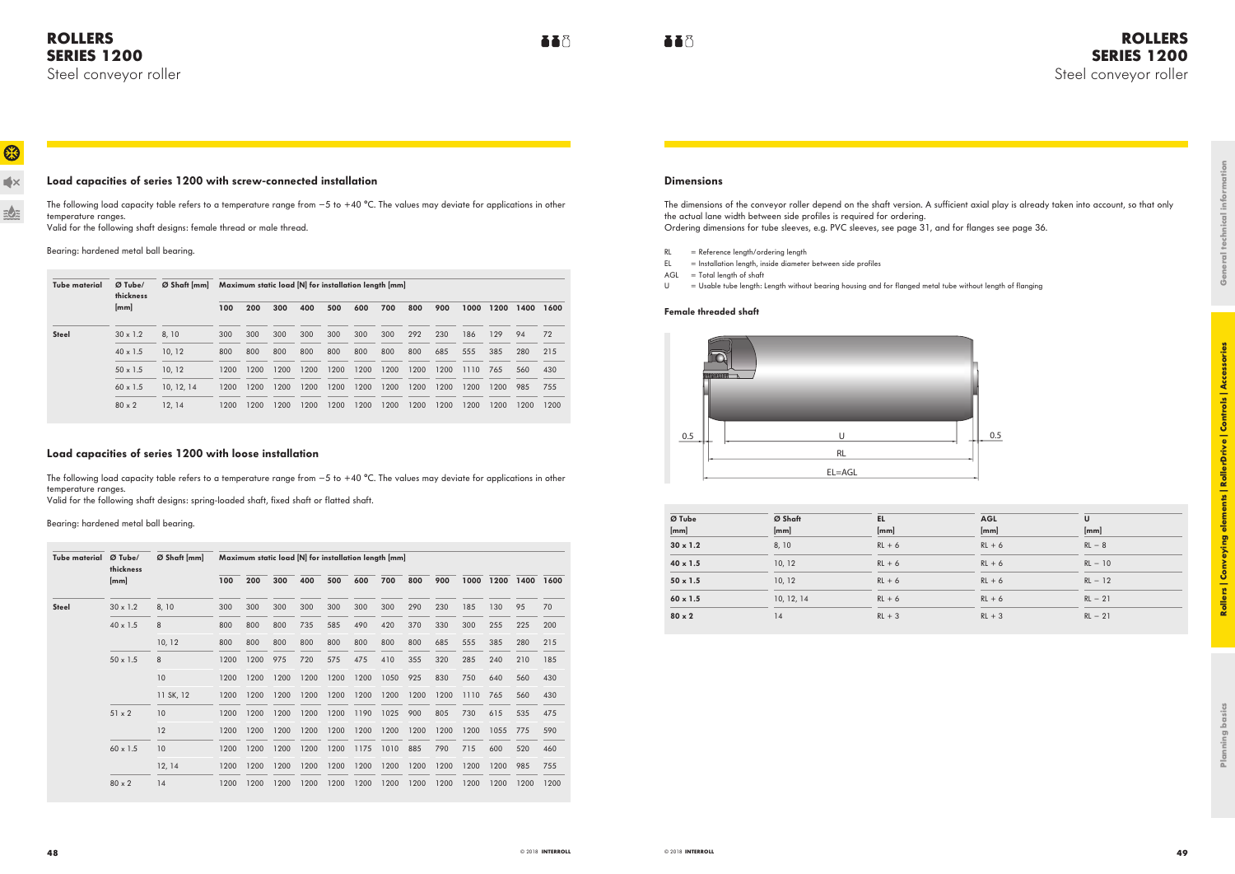# **ROLLERS SERIES 1200** Steel conveyor roller

 $\blacktriangleleft$ 

 $\frac{1}{2} \sum_{i=1}^{n}$ 

## **Load capacities of series 1200 with screw-connected installation**

The following load capacity table refers to a temperature range from −5 to +40 °C. The values may deviate for applications in other temperature ranges.

Valid for the following shaft designs: female thread or male thread.

Bearing: hardened metal ball bearing.

The following load capacity table refers to a temperature range from −5 to +40 °C. The values may deviate for applications in other temperature ranges.

| Tube material | $Ø$ Tube/<br>thickness | $Ø$ Shaft $\lfloor mm \rfloor$ | Maximum static load [N] for installation length [mm] |      |      |      |      |      |      |      |      |      |      |      |      |
|---------------|------------------------|--------------------------------|------------------------------------------------------|------|------|------|------|------|------|------|------|------|------|------|------|
|               | [mm]                   |                                | 100                                                  | 200  | 300  | 400  | 500  | 600  | 700  | 800  | 900  | 1000 | 1200 | 1400 | 1600 |
| <b>Steel</b>  | $30 \times 1.2$        | 8, 10                          | 300                                                  | 300  | 300  | 300  | 300  | 300  | 300  | 292  | 230  | 186  | 129  | 94   | 72   |
|               | $40 \times 1.5$        | 10.12                          | 800                                                  | 800  | 800  | 800  | 800  | 800  | 800  | 800  | 685  | 555  | 385  | 280  | 215  |
|               | $50 \times 1.5$        | 10, 12                         | 1200                                                 | 1200 | 1200 | 1200 | 1200 | 1200 | 1200 | 1200 | 1200 | 1110 | 765  | 560  | 430  |
|               | $60 \times 1.5$        | 10, 12, 14                     | 1200                                                 | 1200 | 1200 | 1200 | 1200 | 1200 | 1200 | 1200 | 1200 | 1200 | 1200 | 985  | 755  |
|               | $80 \times 2$          | 12, 14                         | 1200                                                 | 1200 | 1200 | 1200 | 1200 | 1200 | 1200 | 1200 | 1200 | 1200 | 1200 | 1200 | 1200 |

## **Load capacities of series 1200 with loose installation**

Valid for the following shaft designs: spring-loaded shaft, fixed shaft or flatted shaft.

Bearing: hardened metal ball bearing.

| Tube material | $Ø$ Tube/<br>thickness | $\varnothing$ Shaft [mm] | Maximum static load [N] for installation length [mm] |      |      |      |      |      |      |      |      |      |      |      |      |
|---------------|------------------------|--------------------------|------------------------------------------------------|------|------|------|------|------|------|------|------|------|------|------|------|
|               | [mm]                   |                          | 100                                                  | 200  | 300  | 400  | 500  | 600  | 700  | 800  | 900  | 1000 | 1200 | 1400 | 1600 |
| <b>Steel</b>  | $30 \times 1.2$        | 8, 10                    | 300                                                  | 300  | 300  | 300  | 300  | 300  | 300  | 290  | 230  | 185  | 130  | 95   | 70   |
|               | $40 \times 1.5$        | 8                        | 800                                                  | 800  | 800  | 735  | 585  | 490  | 420  | 370  | 330  | 300  | 255  | 225  | 200  |
|               |                        | 10, 12                   | 800                                                  | 800  | 800  | 800  | 800  | 800  | 800  | 800  | 685  | 555  | 385  | 280  | 215  |
|               | $50 \times 1.5$        | 8                        | 1200                                                 | 1200 | 975  | 720  | 575  | 475  | 410  | 355  | 320  | 285  | 240  | 210  | 185  |
|               |                        | 10                       | 1200                                                 | 1200 | 1200 | 1200 | 1200 | 1200 | 1050 | 925  | 830  | 750  | 640  | 560  | 430  |
|               |                        | 11 SK, 12                | 1200                                                 | 1200 | 1200 | 1200 | 1200 | 1200 | 1200 | 1200 | 1200 | 1110 | 765  | 560  | 430  |
|               | $51 \times 2$          | 10                       | 1200                                                 | 1200 | 1200 | 1200 | 1200 | 1190 | 1025 | 900  | 805  | 730  | 615  | 535  | 475  |
|               |                        | 12                       | 1200                                                 | 1200 | 1200 | 1200 | 1200 | 1200 | 1200 | 1200 | 1200 | 1200 | 1055 | 775  | 590  |
|               | $60 \times 1.5$        | 10                       | 1200                                                 | 1200 | 1200 | 1200 | 1200 | 1175 | 1010 | 885  | 790  | 715  | 600  | 520  | 460  |
|               |                        | 12, 14                   | 1200                                                 | 1200 | 1200 | 1200 | 1200 | 1200 | 1200 | 1200 | 1200 | 1200 | 1200 | 985  | 755  |
|               | $80 \times 2$          | 14                       | 1200                                                 | 1200 | 1200 | 1200 | 1200 | 1200 | 1200 | 1200 | 1200 | 1200 | 1200 | 1200 | 1200 |

## **Dimensions**

**AAA** 

**TT** 

The dimensions of the conveyor roller depend on the shaft version. A sufficient axial play is already taken into account, so that only the actual lane width between side profiles is required for ordering. Ordering dimensions for tube sleeves, e.g. PVC sleeves, see page 31, and for flanges see page 36.

- RL = Reference length/ordering length
- EL = Installation length, inside diameter between side profiles
- $AGL = Total length of shaft$
- U = Usable tube length: Length without bearing housing and for flanged metal tube without length of flanging

### **Female threaded shaft**



| Ø Tube          | Ø Shaft    | EL       | <b>AGL</b> | U         |
|-----------------|------------|----------|------------|-----------|
| [mm]            | [mm]       | [mm]     | [mm]       | [mm]      |
| $30 \times 1.2$ | 8, 10      | $RL + 6$ | $RL + 6$   | $RL - 8$  |
| $40 \times 1.5$ | 10, 12     | $RL + 6$ | $RL + 6$   | $RL - 10$ |
| $50 \times 1.5$ | 10, 12     | $RL + 6$ | $RL + 6$   | $RL - 12$ |
| $60 \times 1.5$ | 10, 12, 14 | $RL + 6$ | $RL + 6$   | $RL - 21$ |
| $80 \times 2$   | 14         | $RL + 3$ | $RL + 3$   | $RL - 21$ |